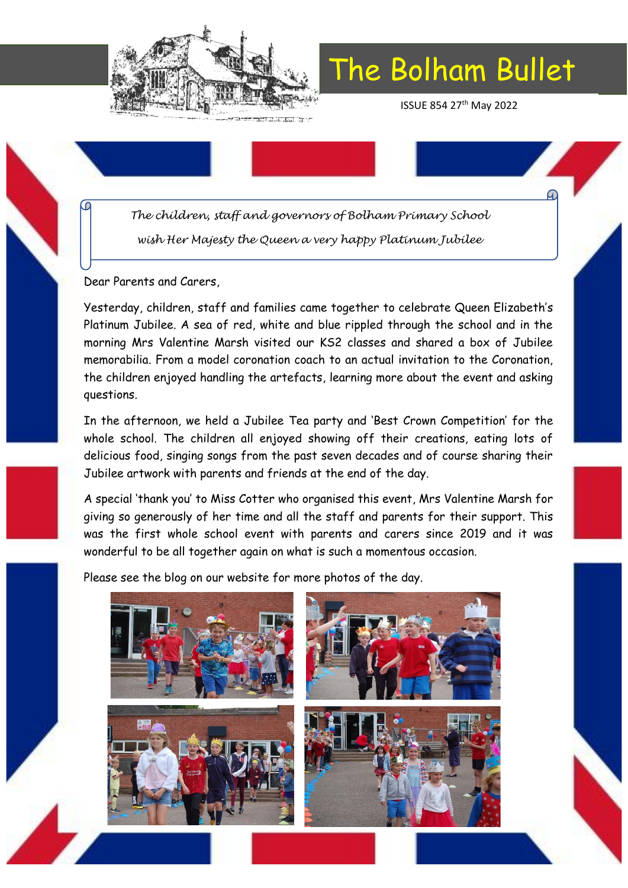

ISSUE 854 27th May 2022

*The children, staff and governors of Bolham Primary School wish Her Majesty the Queen a very happy Platinum Jubilee*

Dear Parents and Carers,

Yesterday, children, staff and families came together to celebrate Queen Elizabeth's Platinum Jubilee. A sea of red, white and blue rippled through the school and in the morning Mrs Valentine Marsh visited our KS2 classes and shared a box of Jubilee memorabilia. From a model coronation coach to an actual invitation to the Coronation, the children enjoyed handling the artefacts, learning more about the event and asking questions.

In the afternoon, we held a Jubilee Tea party and 'Best Crown Competition' for the whole school. The children all enjoyed showing off their creations, eating lots of delicious food, singing songs from the past seven decades and of course sharing their Jubilee artwork with parents and friends at the end of the day.

A special 'thank you' to Miss Cotter who organised this event, Mrs Valentine Marsh for giving so generously of her time and all the staff and parents for their support. This was the first whole school event with parents and carers since 2019 and it was wonderful to be all together again on what is such a momentous occasion.

Please see the blog on our website for more photos of the day.

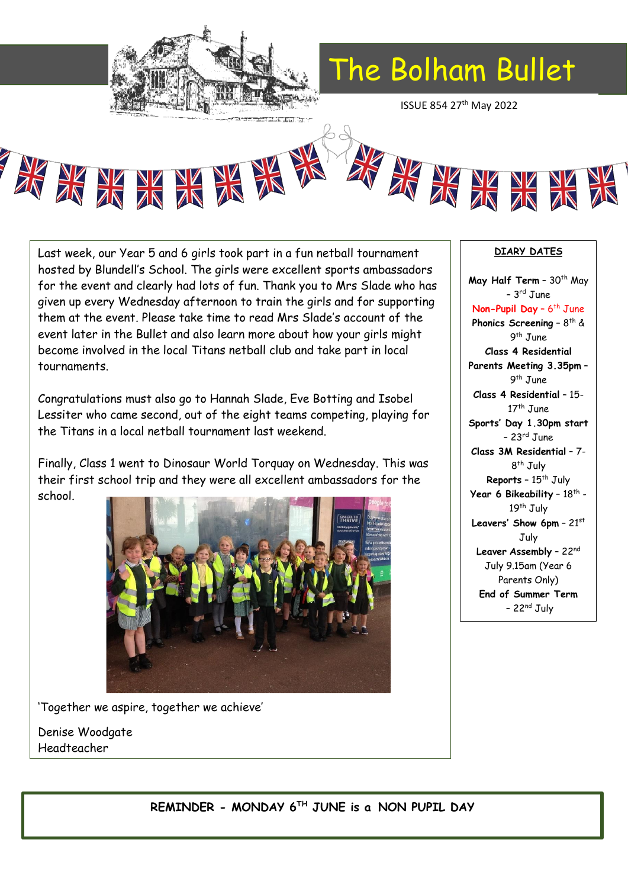

ISSUE 854 27th May 2022





Last week, our Year 5 and 6 girls took part in a fun netball tournament hosted by Blundell's School. The girls were excellent sports ambassadors for the event and clearly had lots of fun. Thank you to Mrs Slade who has given up every Wednesday afternoon to train the girls and for supporting them at the event. Please take time to read Mrs Slade's account of the event later in the Bullet and also learn more about how your girls might become involved in the local Titans netball club and take part in local tournaments.

Congratulations must also go to Hannah Slade, Eve Botting and Isobel Lessiter who came second, out of the eight teams competing, playing for the Titans in a local netball tournament last weekend.

Finally, Class 1 went to Dinosaur World Torquay on Wednesday. This was their first school trip and they were all excellent ambassadors for the school.



'Together we aspire, together we achieve'

Denise Woodgate Headteacher

### **DIARY DATES**

May Half Term - 30<sup>th</sup> May – 3 rd June Non-Pupil Day - 6<sup>th</sup> June **Phonics Screening - 8<sup>th</sup> &** 9<sup>th</sup> June **Class 4 Residential Parents Meeting 3.35pm** – 9 th June **Class 4 Residential** – 15- 17<sup>th</sup> June **Sports' Day 1.30pm start** – 23rd June **Class 3M Residential** – 7- 8<sup>th</sup> July **Reports** - 15<sup>th</sup> July **Year 6 Bikeability -**  $18^{\text{th}}$  **-**19<sup>th</sup> July **Leavers' Show 6pm** – 21st July **Leaver Assembly** – 22nd July 9.15am (Year 6 Parents Only) **End of Summer Term**  $-22<sup>nd</sup>$  July

**REMINDER - MONDAY 6TH JUNE is a NON PUPIL DAY**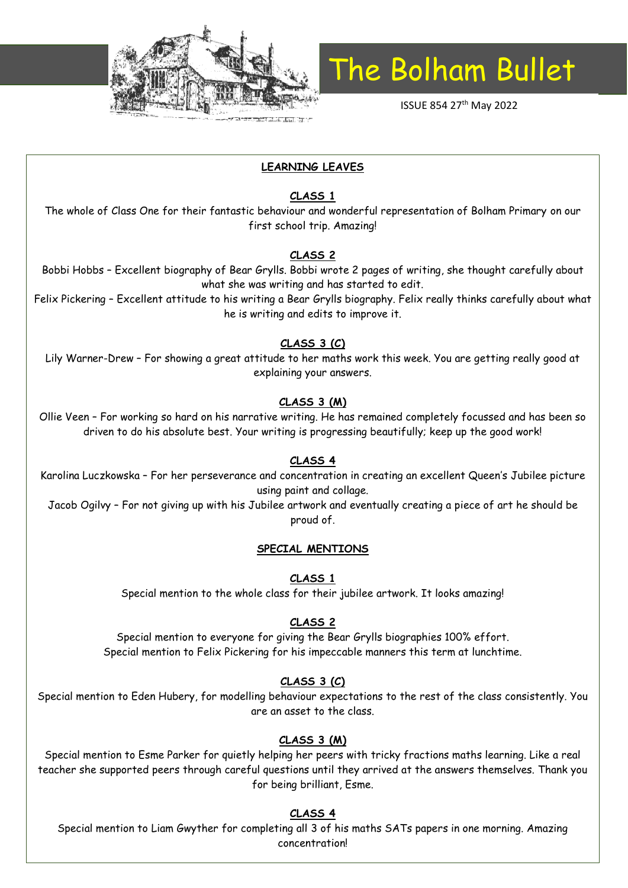

ISSUE 854 27<sup>th</sup> May 2022

#### **LEARNING LEAVES**

#### **CLASS 1**

The whole of Class One for their fantastic behaviour and wonderful representation of Bolham Primary on our first school trip. Amazing!

#### **CLASS 2**

Bobbi Hobbs – Excellent biography of Bear Grylls. Bobbi wrote 2 pages of writing, she thought carefully about what she was writing and has started to edit.

Felix Pickering – Excellent attitude to his writing a Bear Grylls biography. Felix really thinks carefully about what he is writing and edits to improve it.

#### **CLASS 3 (C)**

Lily Warner-Drew – For showing a great attitude to her maths work this week. You are getting really good at explaining your answers.

#### **CLASS 3 (M)**

Ollie Veen – For working so hard on his narrative writing. He has remained completely focussed and has been so driven to do his absolute best. Your writing is progressing beautifully; keep up the good work!

#### **CLASS 4**

Karolina Luczkowska – For her perseverance and concentration in creating an excellent Queen's Jubilee picture using paint and collage.

Jacob Ogilvy – For not giving up with his Jubilee artwork and eventually creating a piece of art he should be proud of.

#### **SPECIAL MENTIONS**

**CLASS 1**

Special mention to the whole class for their jubilee artwork. It looks amazing!

#### **CLASS 2**

Special mention to everyone for giving the Bear Grylls biographies 100% effort. Special mention to Felix Pickering for his impeccable manners this term at lunchtime.

#### **CLASS 3 (C)**

Special mention to Eden Hubery, for modelling behaviour expectations to the rest of the class consistently. You are an asset to the class.

#### **CLASS 3 (M)**

Special mention to Esme Parker for quietly helping her peers with tricky fractions maths learning. Like a real teacher she supported peers through careful questions until they arrived at the answers themselves. Thank you for being brilliant, Esme.

#### **CLASS 4**

Special mention to Liam Gwyther for completing all 3 of his maths SATs papers in one morning. Amazing concentration!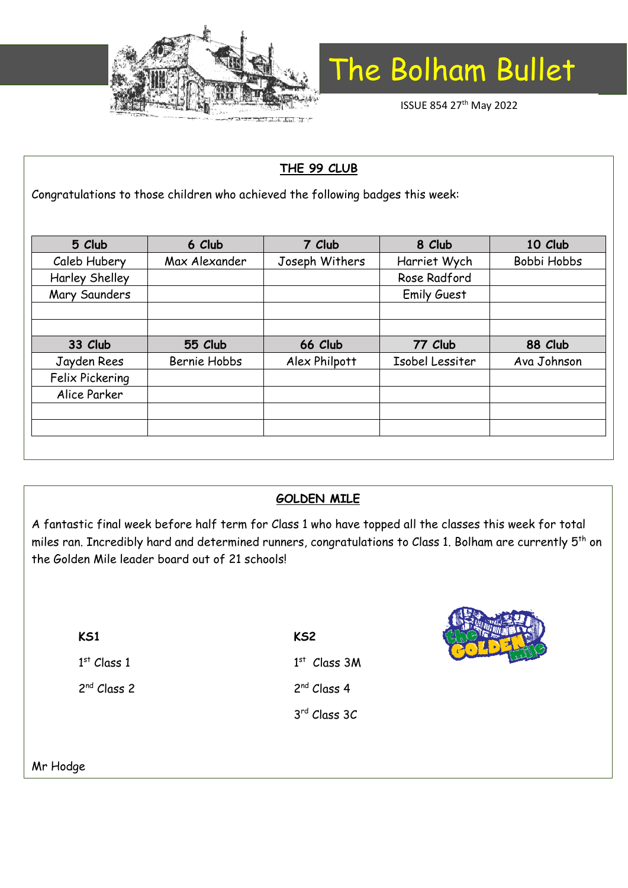

ISSUE 854 27th May 2022

## **THE 99 CLUB**

Congratulations to those children who achieved the following badges this week:

| 5 Club          | 6 Club              | 7 Club         | 8 Club             | 10 Club     |
|-----------------|---------------------|----------------|--------------------|-------------|
| Caleb Hubery    | Max Alexander       | Joseph Withers | Harriet Wych       | Bobbi Hobbs |
| Harley Shelley  |                     |                | Rose Radford       |             |
| Mary Saunders   |                     |                | <b>Emily Guest</b> |             |
|                 |                     |                |                    |             |
|                 |                     |                |                    |             |
| 33 Club         | 55 Club             | 66 Club        | 77 Club            | 88 Club     |
| Jayden Rees     | <b>Bernie Hobbs</b> | Alex Philpott  | Isobel Lessiter    | Ava Johnson |
| Felix Pickering |                     |                |                    |             |
| Alice Parker    |                     |                |                    |             |
|                 |                     |                |                    |             |
|                 |                     |                |                    |             |
|                 |                     |                |                    |             |

### **GOLDEN MILE**

A fantastic final week before half term for Class 1 who have topped all the classes this week for total miles ran. Incredibly hard and determined runners, congratulations to Class 1. Bolham are currently 5<sup>th</sup> on the Golden Mile leader board out of 21 schools!

| KS1                     |
|-------------------------|
| $1^{st}$ Class 1        |
| 2 <sup>nd</sup> Class 2 |

**KS2** 1 st Class 3M 2<sup>nd</sup> Class 4

3 rd Class 3C



Mr Hodge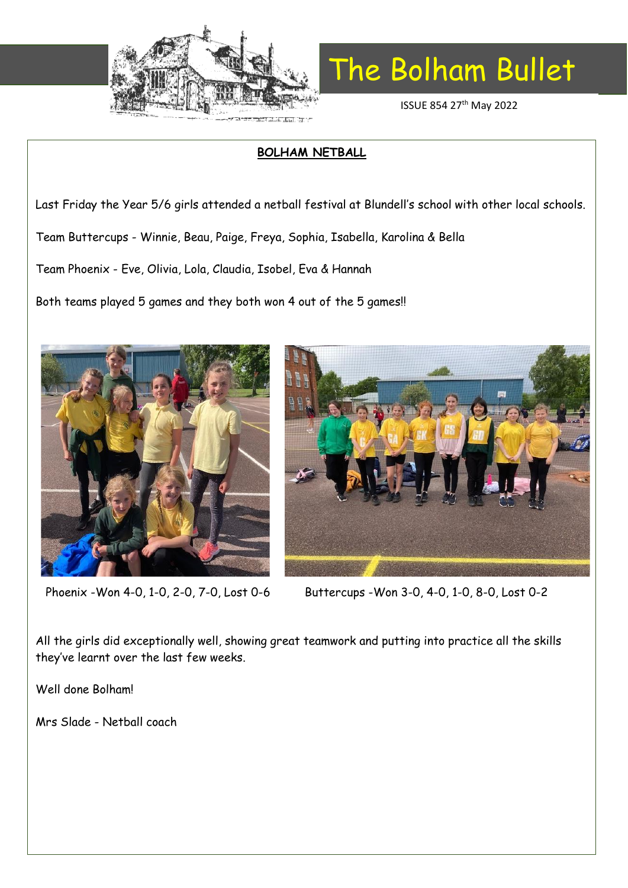

ISSUE 854 27th May 2022

### **BOLHAM NETBALL**

Last Friday the Year 5/6 girls attended a netball festival at Blundell's school with other local schools.

Team Buttercups - Winnie, Beau, Paige, Freya, Sophia, Isabella, Karolina & Bella

Team Phoenix - Eve, Olivia, Lola, Claudia, Isobel, Eva & Hannah

Both teams played 5 games and they both won 4 out of the 5 games!!





Phoenix -Won 4-0, 1-0, 2-0, 7-0, Lost 0-6 Buttercups -Won 3-0, 4-0, 1-0, 8-0, Lost 0-2

All the girls did exceptionally well, showing great teamwork and putting into practice all the skills they've learnt over the last few weeks.

Well done Bolham!

Mrs Slade - Netball coach